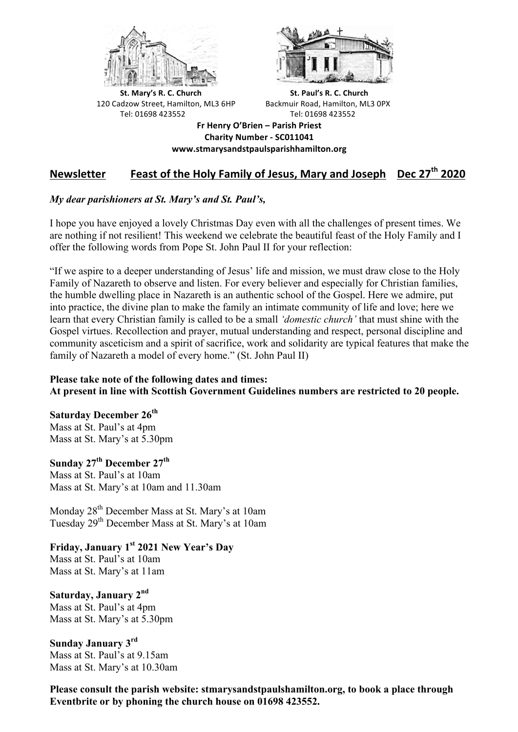



**St.** Mary's R. C. Church St. Paul's R. C. Church 120 Cadzow Street, Hamilton, ML3 6HP Backmuir Road, Hamilton, ML3 0PX Tel: 01698 423552 Tel: 01698 423552

**Fr Henry O'Brien – Parish Priest Charity Number - SC011041 www.stmarysandstpaulsparishhamilton.org**

## **Newsletter Beast of the Holy Family of Jesus, Mary and Joseph** Dec 27<sup>th</sup> 2020

### *My dear parishioners at St. Mary's and St. Paul's,*

I hope you have enjoyed a lovely Christmas Day even with all the challenges of present times. We are nothing if not resilient! This weekend we celebrate the beautiful feast of the Holy Family and I offer the following words from Pope St. John Paul II for your reflection:

"If we aspire to a deeper understanding of Jesus' life and mission, we must draw close to the Holy Family of Nazareth to observe and listen. For every believer and especially for Christian families, the humble dwelling place in Nazareth is an authentic school of the Gospel. Here we admire, put into practice, the divine plan to make the family an intimate community of life and love; here we learn that every Christian family is called to be a small *'domestic church'* that must shine with the Gospel virtues. Recollection and prayer, mutual understanding and respect, personal discipline and community asceticism and a spirit of sacrifice, work and solidarity are typical features that make the family of Nazareth a model of every home." (St. John Paul II)

#### **Please take note of the following dates and times: At present in line with Scottish Government Guidelines numbers are restricted to 20 people.**

#### **Saturday December 26th**

Mass at St. Paul's at 4pm Mass at St. Mary's at 5.30pm

**Sunday 27th December 27th** Mass at St. Paul's at 10am Mass at St. Mary's at 10am and 11.30am

Monday 28th December Mass at St. Mary's at 10am Tuesday 29th December Mass at St. Mary's at 10am

# **Friday, January 1st 2021 New Year's Day**

Mass at St. Paul's at 10am Mass at St. Mary's at 11am

**Saturday, January 2nd**

Mass at St. Paul's at 4pm Mass at St. Mary's at 5.30pm

**Sunday January 3rd** Mass at St. Paul's at 9.15am Mass at St. Mary's at 10.30am

**Please consult the parish website: stmarysandstpaulshamilton.org, to book a place through Eventbrite or by phoning the church house on 01698 423552.**